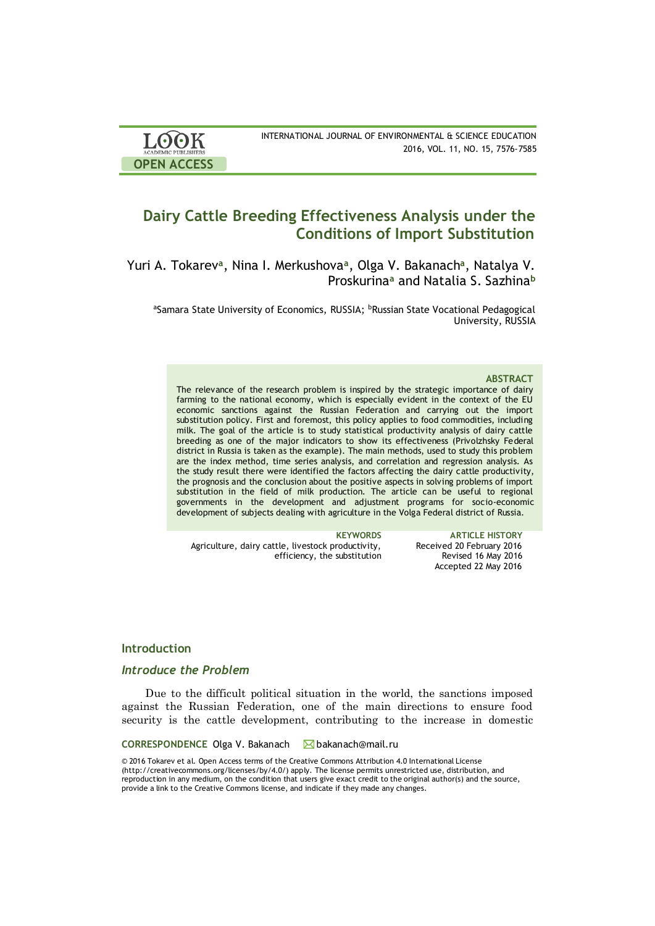| <b>LOOK</b>                | INTERNATIONAL JOURNAL OF ENVIRONMENTAL & SCIENCE EDUCATION |
|----------------------------|------------------------------------------------------------|
| <b>ACADEMIC PUBLISHERS</b> | 2016, VOL. 11, NO. 15, 7576-7585                           |
| <b>OPEN ACCESS</b>         |                                                            |

# **Dairy Cattle Breeding Effectiveness Analysis under the Conditions of Import Substitution**

Yuri A. Tokarev**<sup>a</sup>** , Nina I. Merkushova**<sup>a</sup>** , Olga V. Bakanach**<sup>a</sup>** , Natalya V. Proskurina**<sup>a</sup>** and Natalia S. Sazhina**<sup>b</sup>**

aSamara State University of Economics, RUSSIA; **bRussian State Vocational Pedagogical** University, RUSSIA

#### **ABSTRACT**

The relevance of the research problem is inspired by the strategic importance of dairy farming to the national economy, which is especially evident in the context of the EU economic sanctions against the Russian Federation and carrying out the import substitution policy. First and foremost, this policy applies to food commodities, including milk. The goal of the article is to study statistical productivity analysis of dairy cattle breeding as one of the major indicators to show its effectiveness (Privolzhsky Federal district in Russia is taken as the example). The main methods, used to study this problem are the index method, time series analysis, and correlation and regression analysis. As the study result there were identified the factors affecting the dairy cattle productivity, the prognosis and the conclusion about the positive aspects in solving problems of import substitution in the field of milk production. The article can be useful to regional governments in the development and adjustment programs for socio-economic development of subjects dealing with agriculture in the Volga Federal district of Russia.

Agriculture, dairy cattle, livestock productivity, efficiency, the substitution

**KEYWORDS ARTICLE HISTORY** Received 20 February 2016 Revised 16 May 2016 Accepted 22 May 2016

# **Introduction**

# *Introduce the Problem*

Due to the difficult political situation in the world, the sanctions imposed against the Russian Federation, one of the main directions to ensure food security is the cattle development, contributing to the increase in domestic

#### CORRESPONDENCE Olga V. Bakanach **△**bakanach@mail.ru

© 2016 Tokarev et al. Open Access terms of the Creative Commons Attribution 4.0 International License (http://creativecommons.org/licenses/by/4.0/) apply. The license permits unrestricted use, distribution, and reproduction in any medium, on the condition that users give exact credit to the original author(s) and the source, provide a link to the Creative Commons license, and indicate if they made any changes.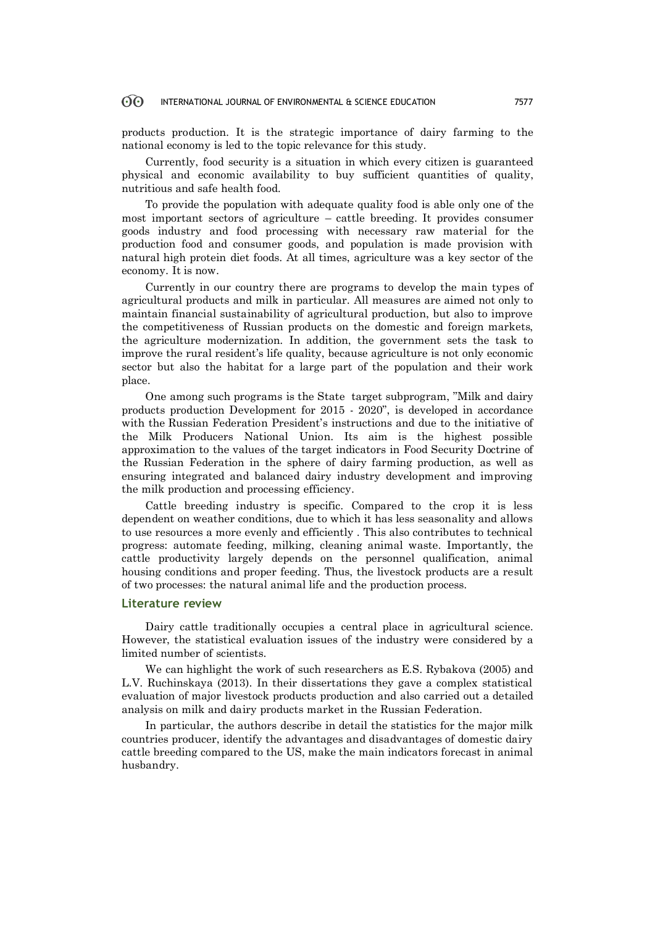products production. It is the strategic importance of dairy farming to the national economy is led to the topic relevance for this study.

Currently, food security is a situation in which every citizen is guaranteed physical and economic availability to buy sufficient quantities of quality, nutritious and safe health food.

To provide the population with adequate quality food is able only one of the most important sectors of agriculture – cattle breeding. It provides consumer goods industry and food processing with necessary raw material for the production food and consumer goods, and population is made provision with natural high protein diet foods. At all times, agriculture was a key sector of the economy. It is now.

Currently in our country there are programs to develop the main types of agricultural products and milk in particular. All measures are aimed not only to maintain financial sustainability of agricultural production, but also to improve the competitiveness of Russian products on the domestic and foreign markets, the agriculture modernization. In addition, the government sets the task to improve the rural resident's life quality, because agriculture is not only economic sector but also the habitat for a large part of the population and their work place.

One among such programs is the State target subprogram, "Milk and dairy products production Development for 2015 - 2020", is developed in accordance with the Russian Federation President's instructions and due to the initiative of the Milk Producers National Union. Its aim is the highest possible approximation to the values of the target indicators in Food Security Doctrine of the Russian Federation in the sphere of dairy farming production, as well as ensuring integrated and balanced dairy industry development and improving the milk production and processing efficiency.

Cattle breeding industry is specific. Compared to the crop it is less dependent on weather conditions, due to which it has less seasonality and allows to use resources a more evenly and efficiently . This also contributes to technical progress: automate feeding, milking, cleaning animal waste. Importantly, the cattle productivity largely depends on the personnel qualification, animal housing conditions and proper feeding. Thus, the livestock products are a result of two processes: the natural animal life and the production process.

#### **Literature review**

Dairy cattle traditionally occupies a central place in agricultural science. However, the statistical evaluation issues of the industry were considered by a limited number of scientists.

We can highlight the work of such researchers as E.S. Rybakova (2005) and L.V. Ruchinskaya (2013). In their dissertations they gave a complex statistical evaluation of major livestock products production and also carried out a detailed analysis on milk and dairy products market in the Russian Federation.

In particular, the authors describe in detail the statistics for the major milk countries producer, identify the advantages and disadvantages of domestic dairy cattle breeding compared to the US, make the main indicators forecast in animal husbandry.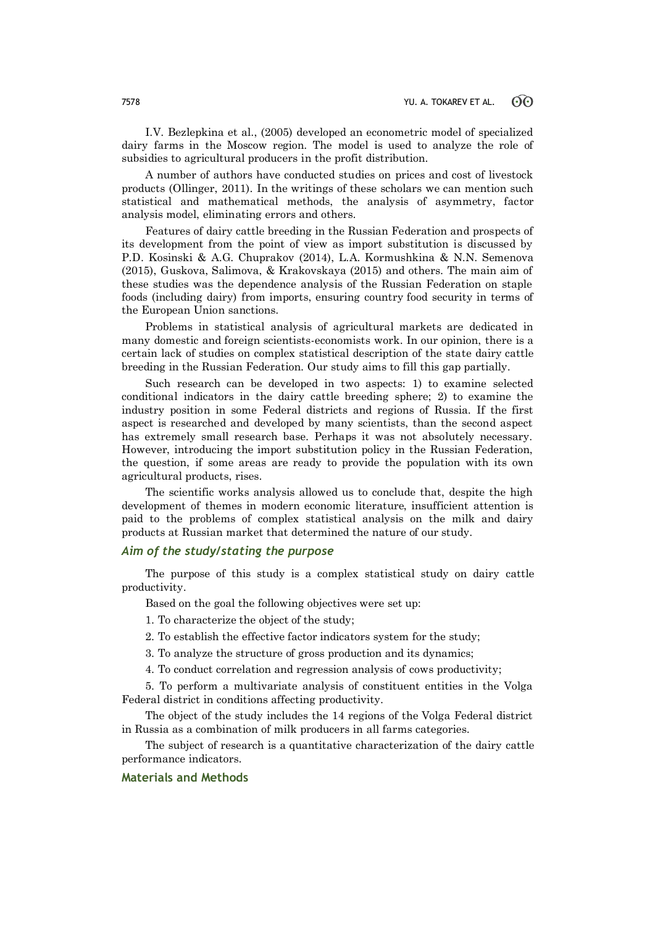I.V. Bezlepkina et al., (2005) developed an econometric model of specialized dairy farms in the Moscow region. The model is used to analyze the role of subsidies to agricultural producers in the profit distribution.

A number of authors have conducted studies on prices and cost of livestock products (Ollinger, 2011). In the writings of these scholars we can mention such statistical and mathematical methods, the analysis of asymmetry, factor analysis model, eliminating errors and others.

Features of dairy cattle breeding in the Russian Federation and prospects of its development from the point of view as import substitution is discussed by P.D. Kosinski & A.G. Chuprakov (2014), L.A. Kormushkina & N.N. Semenova (2015), Guskova, Salimova, & Krakovskaya (2015) and others. The main aim of these studies was the dependence analysis of the Russian Federation on staple foods (including dairy) from imports, ensuring country food security in terms of the European Union sanctions.

Problems in statistical analysis of agricultural markets are dedicated in many domestic and foreign scientists-economists work. In our opinion, there is a certain lack of studies on complex statistical description of the state dairy cattle breeding in the Russian Federation. Our study aims to fill this gap partially.

Such research can be developed in two aspects: 1) to examine selected conditional indicators in the dairy cattle breeding sphere; 2) to examine the industry position in some Federal districts and regions of Russia. If the first aspect is researched and developed by many scientists, than the second aspect has extremely small research base. Perhaps it was not absolutely necessary. However, introducing the import substitution policy in the Russian Federation, the question, if some areas are ready to provide the population with its own agricultural products, rises.

The scientific works analysis allowed us to conclude that, despite the high development of themes in modern economic literature, insufficient attention is paid to the problems of complex statistical analysis on the milk and dairy products at Russian market that determined the nature of our study.

# *Aim of the study/stating the purpose*

The purpose of this study is a complex statistical study on dairy cattle productivity.

Based on the goal the following objectives were set up:

1. To characterize the object of the study;

2. To establish the effective factor indicators system for the study;

3. To analyze the structure of gross production and its dynamics;

4. To conduct correlation and regression analysis of cows productivity;

5. To perform a multivariate analysis of constituent entities in the Volga Federal district in conditions affecting productivity.

The object of the study includes the 14 regions of the Volga Federal district in Russia as a combination of milk producers in all farms categories.

The subject of research is a quantitative characterization of the dairy cattle performance indicators.

### **Materials and Methods**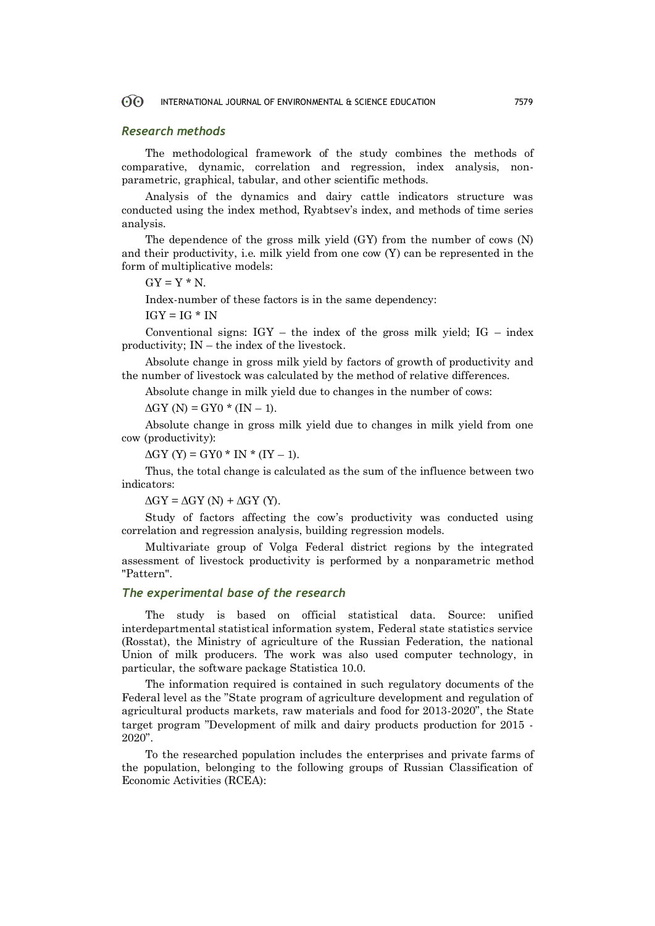#### *Research methods*

The methodological framework of the study combines the methods of comparative, dynamic, correlation and regression, index analysis, nonparametric, graphical, tabular, and other scientific methods.

Analysis of the dynamics and dairy cattle indicators structure was conducted using the index method, Ryabtsev's index, and methods of time series analysis.

The dependence of the gross milk yield (GY) from the number of cows (N) and their productivity, i.e. milk yield from one cow  $(Y)$  can be represented in the form of multiplicative models:

 $GY = Y * N$ .

Index-number of these factors is in the same dependency:

 $IGY = IG * IN$ 

Conventional signs:  $IGY -$  the index of the gross milk yield;  $IG -$  index productivity; IN – the index of the livestock.

Absolute change in gross milk yield by factors of growth of productivity and the number of livestock was calculated by the method of relative differences.

Absolute change in milk yield due to changes in the number of cows:

 $\Delta$ GY (N) = GY0 \* (IN – 1).

Absolute change in gross milk yield due to changes in milk yield from one cow (productivity):

 $\Delta$ GY (Y) = GY0 \* IN \* (IY – 1).

Thus, the total change is calculated as the sum of the influence between two indicators:

 $\Delta$ GY =  $\Delta$ GY (N) +  $\Delta$ GY (Y).

Study of factors affecting the cow's productivity was conducted using correlation and regression analysis, building regression models.

Multivariate group of Volga Federal district regions by the integrated assessment of livestock productivity is performed by a nonparametric method "Pattern".

### *The experimental base of the research*

The study is based on official statistical data. Source: unified interdepartmental statistical information system, Federal state statistics service (Rosstat), the Ministry of agriculture of the Russian Federation, the national Union of milk producers. The work was also used computer technology, in particular, the software package Statistica 10.0.

The information required is contained in such regulatory documents of the Federal level as the "State program of agriculture development and regulation of agricultural products markets, raw materials and food for 2013-2020", the State target program "Development of milk and dairy products production for 2015 - 2020".

To the researched population includes the enterprises and private farms of the population, belonging to the following groups of Russian Classification of Economic Activities (RCEA):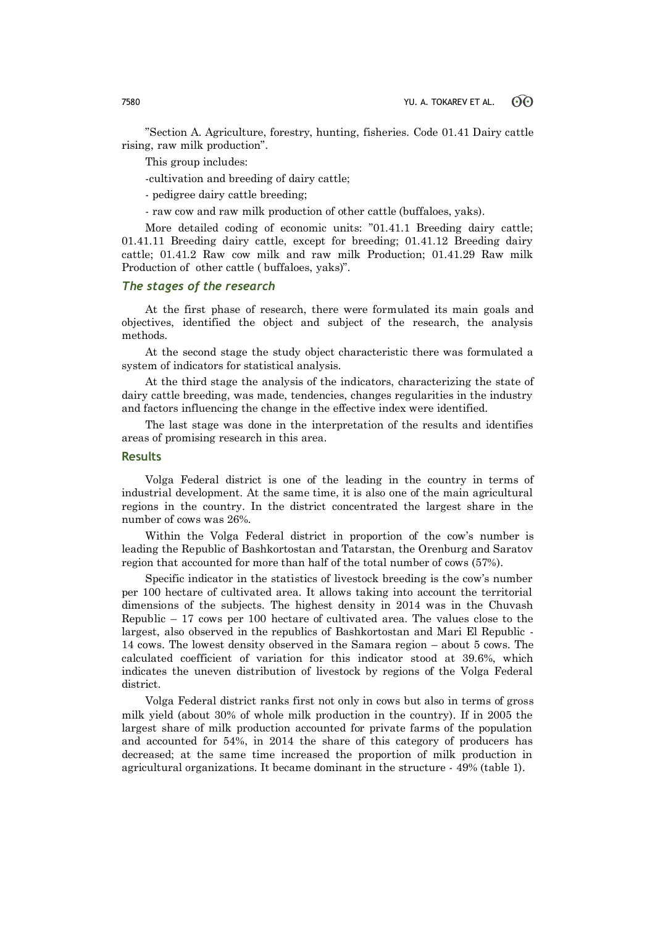"Section A. Agriculture, forestry, hunting, fisheries. Code 01.41 Dairy cattle rising, raw milk production".

This group includes:

-cultivation and breeding of dairy cattle;

- pedigree dairy cattle breeding;

- raw cow and raw milk production of other cattle (buffaloes, yaks).

More detailed coding of economic units: "01.41.1 Breeding dairy cattle; 01.41.11 Breeding dairy cattle, except for breeding; 01.41.12 Breeding dairy cattle; 01.41.2 Raw cow milk and raw milk Production; 01.41.29 Raw milk Production of other cattle ( buffaloes, yaks)".

# *The stages of the research*

At the first phase of research, there were formulated its main goals and objectives, identified the object and subject of the research, the analysis methods.

At the second stage the study object characteristic there was formulated a system of indicators for statistical analysis.

At the third stage the analysis of the indicators, characterizing the state of dairy cattle breeding, was made, tendencies, changes regularities in the industry and factors influencing the change in the effective index were identified.

The last stage was done in the interpretation of the results and identifies areas of promising research in this area.

### **Results**

Volga Federal district is one of the leading in the country in terms of industrial development. At the same time, it is also one of the main agricultural regions in the country. In the district concentrated the largest share in the number of cows was 26%.

Within the Volga Federal district in proportion of the cow's number is leading the Republic of Bashkortostan and Tatarstan, the Orenburg and Saratov region that accounted for more than half of the total number of cows (57%).

Specific indicator in the statistics of livestock breeding is the cow's number per 100 hectare of cultivated area. It allows taking into account the territorial dimensions of the subjects. The highest density in 2014 was in the Chuvash Republic – 17 cows per 100 hectare of cultivated area. The values close to the largest, also observed in the republics of Bashkortostan and Mari El Republic - 14 cows. The lowest density observed in the Samara region – about 5 cows. The calculated coefficient of variation for this indicator stood at 39.6%, which indicates the uneven distribution of livestock by regions of the Volga Federal district.

Volga Federal district ranks first not only in cows but also in terms of gross milk yield (about 30% of whole milk production in the country). If in 2005 the largest share of milk production accounted for private farms of the population and accounted for 54%, in 2014 the share of this category of producers has decreased; at the same time increased the proportion of milk production in agricultural organizations. It became dominant in the structure - 49% (table 1).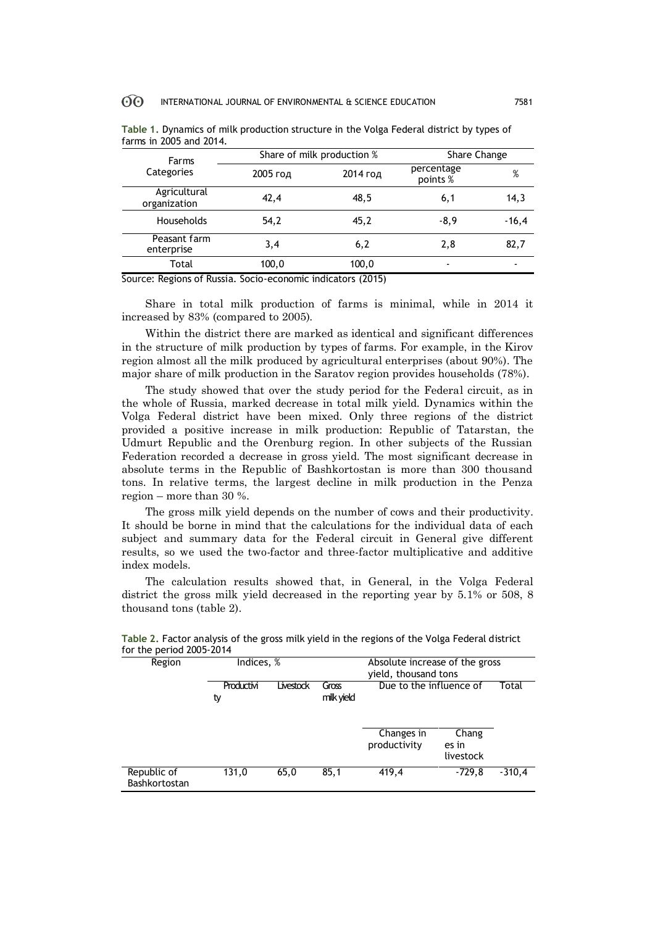| Farms                        |          | Share of milk production % | Share Change           |         |
|------------------------------|----------|----------------------------|------------------------|---------|
| Categories                   | 2005 год | 2014 год                   | percentage<br>points % | %       |
| Agricultural<br>organization | 42,4     | 48,5                       | 6,1                    | 14,3    |
| <b>Households</b>            | 54,2     | 45,2                       | $-8,9$                 | $-16,4$ |
| Peasant farm<br>enterprise   | 3,4      | 6,2                        | 2,8                    | 82,7    |
| Total                        | 100,0    | 100,0                      |                        |         |
|                              |          |                            |                        |         |

**Table 1.** Dynamics of milk production structure in the Volga Federal district by types of farms in 2005 and 2014.

Source: Regions of Russia. Socio-economic indicators (2015)

Share in total milk production of farms is minimal, while in 2014 it increased by 83% (compared to 2005).

Within the district there are marked as identical and significant differences in the structure of milk production by types of farms. For example, in the Kirov region almost all the milk produced by agricultural enterprises (about 90%). The major share of milk production in the Saratov region provides households (78%).

The study showed that over the study period for the Federal circuit, as in the whole of Russia, marked decrease in total milk yield. Dynamics within the Volga Federal district have been mixed. Only three regions of the district provided a positive increase in milk production: Republic of Tatarstan, the Udmurt Republic and the Orenburg region. In other subjects of the Russian Federation recorded a decrease in gross yield. The most significant decrease in absolute terms in the Republic of Bashkortostan is more than 300 thousand tons. In relative terms, the largest decline in milk production in the Penza region – more than 30 %.

The gross milk yield depends on the number of cows and their productivity. It should be borne in mind that the calculations for the individual data of each subject and summary data for the Federal circuit in General give different results, so we used the two-factor and three-factor multiplicative and additive index models.

The calculation results showed that, in General, in the Volga Federal district the gross milk yield decreased in the reporting year by 5.1% or 508, 8 thousand tons (table 2).

| Region                       | Indices, %       |           |                     | Absolute increase of the gross<br>yield, thousand tons |                             |          |
|------------------------------|------------------|-----------|---------------------|--------------------------------------------------------|-----------------------------|----------|
|                              | Productivi<br>ty | Livestock | Gross<br>milk yield | Due to the influence of                                |                             | Total    |
|                              |                  |           |                     | Changes in<br>productivity                             | Chang<br>es in<br>livestock |          |
| Republic of<br>Bashkortostan | 131,0            | 65,0      | 85,1                | 419,4                                                  | $-729.8$                    | $-310.4$ |

**Table 2.** Factor analysis of the gross milk yield in the regions of the Volga Federal district for the period 2005-2014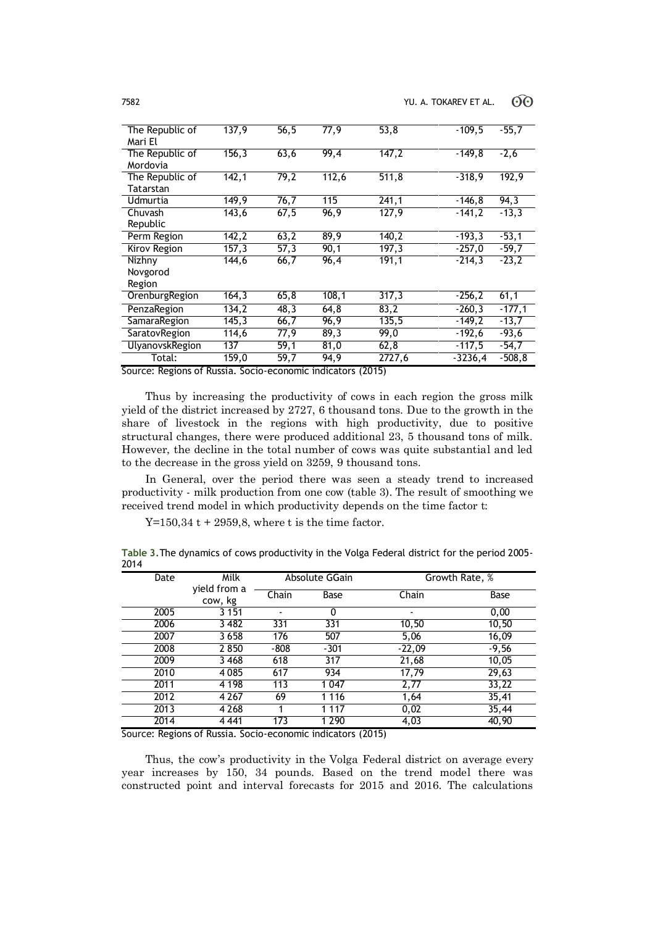| The Republic of<br>Mari El   | 137,9              | 56,5 | 77,9  | 53,8   | $-109,5$  | $-55,7$  |
|------------------------------|--------------------|------|-------|--------|-----------|----------|
| The Republic of<br>Mordovia  | 156,3              | 63,6 | 99,4  | 147,2  | $-149.8$  | $-2,6$   |
| The Republic of<br>Tatarstan | 142,1              | 79,2 | 112,6 | 511,8  | $-318.9$  | 192,9    |
| Udmurtia                     | 149.9              | 76,7 | 115   | 241,1  | $-146.8$  | 94,3     |
| Chuvash<br>Republic          | 143,6              | 67,5 | 96,9  | 127,9  | $-141,2$  | $-13,3$  |
| Perm Region                  | 142,2              | 63,2 | 89,9  | 140,2  | $-193,3$  | $-53,1$  |
| Kirov Region                 | $\overline{157,3}$ | 57,3 | 90,1  | 197,3  | $-257,0$  | $-59,7$  |
| Nizhny<br>Novgorod<br>Region | 144,6              | 66,7 | 96,4  | 191.1  | $-214.3$  | $-23,2$  |
| OrenburgRegion               | 164,3              | 65,8 | 108,1 | 317,3  | $-256,2$  | 61,1     |
| PenzaRegion                  | 134,2              | 48,3 | 64,8  | 83,2   | $-260,3$  | $-177,1$ |
| SamaraRegion                 | 145,3              | 66,7 | 96,9  | 135,5  | $-149,2$  | $-13,7$  |
| SaratovRegion                | 114,6              | 77,9 | 89,3  | 99,0   | $-192,6$  | $-93,6$  |
| UlyanovskRegion              | 137                | 59,1 | 81,0  | 62,8   | $-117,5$  | $-54,7$  |
| Total:                       | 159,0              | 59,7 | 94,9  | 2727,6 | $-3236,4$ | $-508,8$ |

Source: Regions of Russia. Socio-economic indicators (2015)

Thus by increasing the productivity of cows in each region the gross milk yield of the district increased by 2727, 6 thousand tons. Due to the growth in the share of livestock in the regions with high productivity, due to positive structural changes, there were produced additional 23, 5 thousand tons of milk. However, the decline in the total number of cows was quite substantial and led to the decrease in the gross yield on 3259, 9 thousand tons.

In General, over the period there was seen a steady trend to increased productivity - milk production from one cow (table 3). The result of smoothing we received trend model in which productivity depends on the time factor t:

 $Y=150,34$  t + 2959,8, where t is the time factor.

**Table 3.**The dynamics of cows productivity in the Volga Federal district for the period 2005- 2014

| Date | Milk                    |        | Absolute GGain | Growth Rate, % |             |
|------|-------------------------|--------|----------------|----------------|-------------|
|      | yield from a<br>cow, kg | Chain  | Base           | Chain          | <b>Base</b> |
| 2005 | 3 1 5 1                 | ٠      | 0              | ٠              | 0,00        |
| 2006 | 3 4 8 2                 | 331    | 331            | 10,50          | 10,50       |
| 2007 | 3658                    | 176    | 507            | 5,06           | 16,09       |
| 2008 | 2850                    | $-808$ | $-301$         | $-22,09$       | $-9,56$     |
| 2009 | 3468                    | 618    | 317            | 21,68          | 10,05       |
| 2010 | 4085                    | 617    | 934            | 17,79          | 29,63       |
| 2011 | 4 1 9 8                 | 113    | 1047           | 2,77           | 33,22       |
| 2012 | 4 2 6 7                 | 69     | 1 1 1 6        | 1,64           | 35,41       |
| 2013 | 4 2 6 8                 |        | 1 1 1 7        | 0,02           | 35,44       |
| 2014 | 4441                    | 173    | 1 2 9 0        | 4,03           | 40,90       |

Source: Regions of Russia. Socio-economic indicators (2015)

Thus, the cow's productivity in the Volga Federal district on average every year increases by 150, 34 pounds. Based on the trend model there was constructed point and interval forecasts for 2015 and 2016. The calculations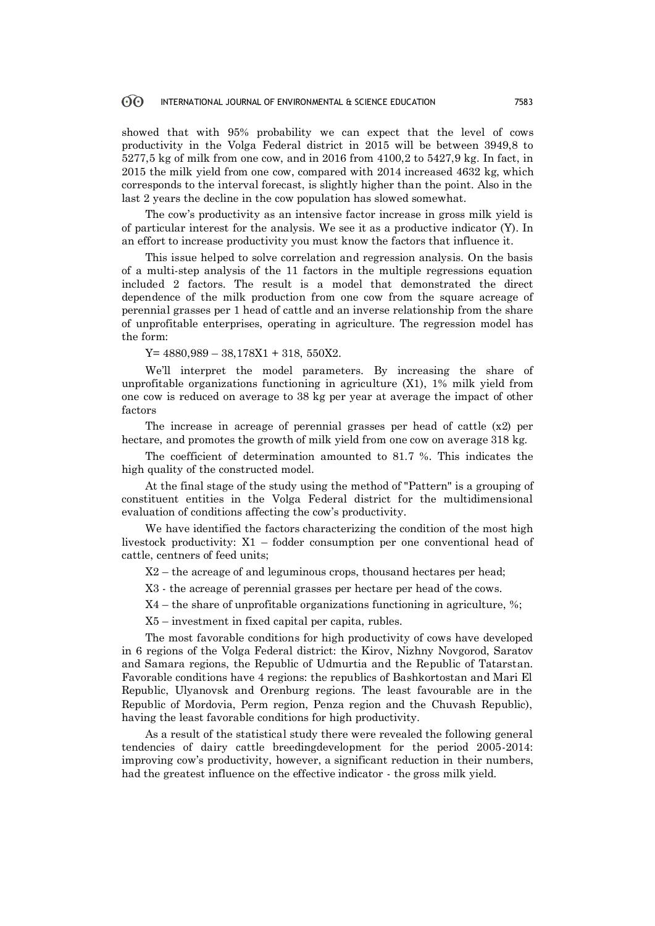showed that with 95% probability we can expect that the level of cows productivity in the Volga Federal district in 2015 will be between 3949,8 to 5277,5 kg of milk from one cow, and in 2016 from 4100,2 to 5427,9 kg. In fact, in 2015 the milk yield from one cow, compared with 2014 increased 4632 kg, which corresponds to the interval forecast, is slightly higher than the point. Also in the last 2 years the decline in the cow population has slowed somewhat.

The cow's productivity as an intensive factor increase in gross milk yield is of particular interest for the analysis. We see it as a productive indicator (Y). In an effort to increase productivity you must know the factors that influence it.

This issue helped to solve correlation and regression analysis. On the basis of a multi-step analysis of the 11 factors in the multiple regressions equation included 2 factors. The result is a model that demonstrated the direct dependence of the milk production from one cow from the square acreage of perennial grasses per 1 head of cattle and an inverse relationship from the share of unprofitable enterprises, operating in agriculture. The regression model has the form:

 $Y= 4880,989 - 38,178X1 + 318, 550X2.$ 

We'll interpret the model parameters. By increasing the share of unprofitable organizations functioning in agriculture (X1), 1% milk yield from one cow is reduced on average to 38 kg per year at average the impact of other factors

The increase in acreage of perennial grasses per head of cattle (x2) per hectare, and promotes the growth of milk yield from one cow on average 318 kg.

The coefficient of determination amounted to 81.7 %. This indicates the high quality of the constructed model.

At the final stage of the study using the method of "Pattern" is a grouping of constituent entities in the Volga Federal district for the multidimensional evaluation of conditions affecting the cow's productivity.

We have identified the factors characterizing the condition of the most high livestock productivity: X1 – fodder consumption per one conventional head of cattle, centners of feed units;

X2 – the acreage of and leguminous crops, thousand hectares per head;

X3 - the acreage of perennial grasses per hectare per head of the cows.

X4 – the share of unprofitable organizations functioning in agriculture, %;

X5 – investment in fixed capital per capita, rubles.

The most favorable conditions for high productivity of cows have developed in 6 regions of the Volga Federal district: the Kirov, Nizhny Novgorod, Saratov and Samara regions, the Republic of Udmurtia and the Republic of Tatarstan. Favorable conditions have 4 regions: the republics of Bashkortostan and Mari El Republic, Ulyanovsk and Orenburg regions. The least favourable are in the Republic of Mordovia, Perm region, Penza region and the Chuvash Republic), having the least favorable conditions for high productivity.

As a result of the statistical study there were revealed the following general tendencies of dairy cattle breedingdevelopment for the period 2005-2014: improving cow's productivity, however, a significant reduction in their numbers, had the greatest influence on the effective indicator - the gross milk yield.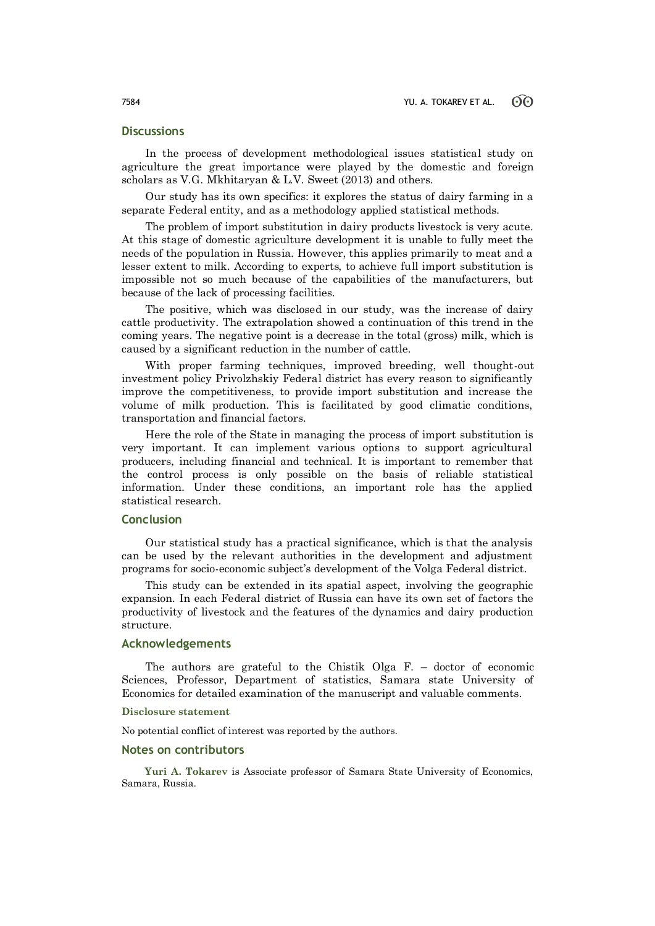# **Discussions**

In the process of development methodological issues statistical study on agriculture the great importance were played by the domestic and foreign scholars as V.G. Mkhitaryan & L.V. Sweet (2013) and others.

Our study has its own specifics: it explores the status of dairy farming in a separate Federal entity, and as a methodology applied statistical methods.

The problem of import substitution in dairy products livestock is very acute. At this stage of domestic agriculture development it is unable to fully meet the needs of the population in Russia. However, this applies primarily to meat and a lesser extent to milk. According to experts, to achieve full import substitution is impossible not so much because of the capabilities of the manufacturers, but because of the lack of processing facilities.

The positive, which was disclosed in our study, was the increase of dairy cattle productivity. The extrapolation showed a continuation of this trend in the coming years. The negative point is a decrease in the total (gross) milk, which is caused by a significant reduction in the number of cattle.

With proper farming techniques, improved breeding, well thought-out investment policy Privolzhskiy Federal district has every reason to significantly improve the competitiveness, to provide import substitution and increase the volume of milk production. This is facilitated by good climatic conditions, transportation and financial factors.

Here the role of the State in managing the process of import substitution is very important. It can implement various options to support agricultural producers, including financial and technical. It is important to remember that the control process is only possible on the basis of reliable statistical information. Under these conditions, an important role has the applied statistical research.

## **Conclusion**

Our statistical study has a practical significance, which is that the analysis can be used by the relevant authorities in the development and adjustment programs for socio-economic subject's development of the Volga Federal district.

This study can be extended in its spatial aspect, involving the geographic expansion. In each Federal district of Russia can have its own set of factors the productivity of livestock and the features of the dynamics and dairy production structure.

### **Acknowledgements**

The authors are grateful to the Chistik Olga F. – doctor of economic Sciences, Professor, Department of statistics, Samara state University of Economics for detailed examination of the manuscript and valuable comments.

#### **Disclosure statement**

No potential conflict of interest was reported by the authors.

### **Notes on contributors**

**Yuri A. Tokarev** is Associate professor of Samara State University of Economics, Samara, Russia.